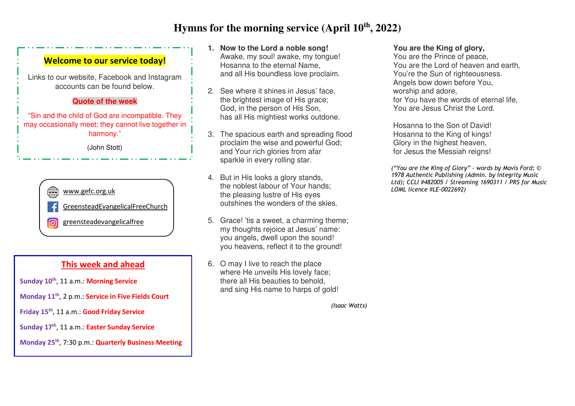# **Hymns for the morning service (April 10th, 2022)**

### **Welcome to our service today!**

Links to our website, Facebook and Instagram accounts can be found below.

#### **Quote of the week**

"Sin and the child of God are incompatible. They may occasionally meet; they cannot live together inharmony."

(John Stott)



### **This week and ahead**

**Sunday 10th**, 11 a.m.: **Morning Service**

- **Monday 11th**, 2 p.m.: **Service in Five Fields Court**
- **Friday 15th**, 11 a.m.: **Good Friday Service**
- **Sunday 17th**, 11 a.m.: **Easter Sunday Service**
- **Monday 25th**, 7:30 p.m.: **Quarterly Business Meeting**
- **1. Now to the Lord a noble song!**  Awake, my soul! awake, my tongue! Hosanna to the eternal Name, and all His boundless love proclaim.
- 2. See where it shines in Jesus' face, the brightest image of His grace; God, in the person of His Son, has all His mightiest works outdone.
- 3. The spacious earth and spreading flood proclaim the wise and powerful God; and Your rich glories from afar sparkle in every rolling star.
- 4. But in His looks a glory stands, the noblest labour of Your hands; the pleasing lustre of His eyes www.gefc.org.uk *LOML licence #LE-0022692)*  outshines the wonders of the skies.
	- 5. Grace! 'tis a sweet, a charming theme; my thoughts rejoice at Jesus' name: you angels, dwell upon the sound! you heavens, reflect it to the ground!
	- 6. O may I live to reach the place where He unveils His lovely face; there all His beauties to behold, and sing His name to harps of gold!

*(Isaac Watts)*

#### **You are the King of glory,**

 You are the Prince of peace, You are the Lord of heaven and earth, You're the Sun of righteousness. Angels bow down before You, worship and adore, for You have the words of eternal life, You are Jesus Christ the Lord.

 Hosanna to the Son of David! Hosanna to the King of kings! Glory in the highest heaven, for Jesus the Messiah reigns!

*("You are the King of Glory" - words by Mavis Ford; © 1978 Authentic Publishing (Admin. by Integrity Music Ltd); CCLI #482005 / Streaming 1690311 / PRS for Music*